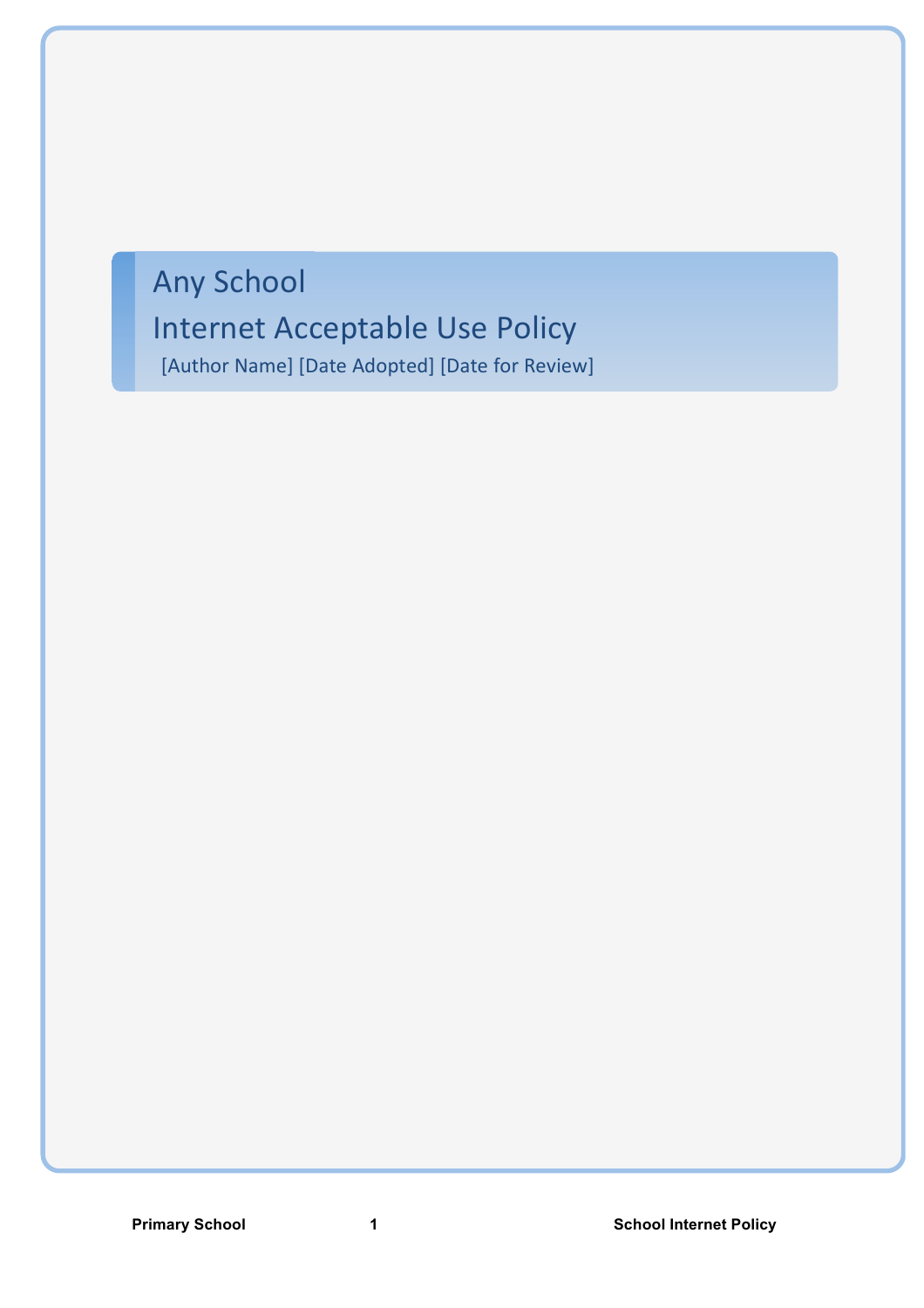# Any School

# Internet Acceptable Use Policy

[Author Name] [Date Adopted] [Date for Review]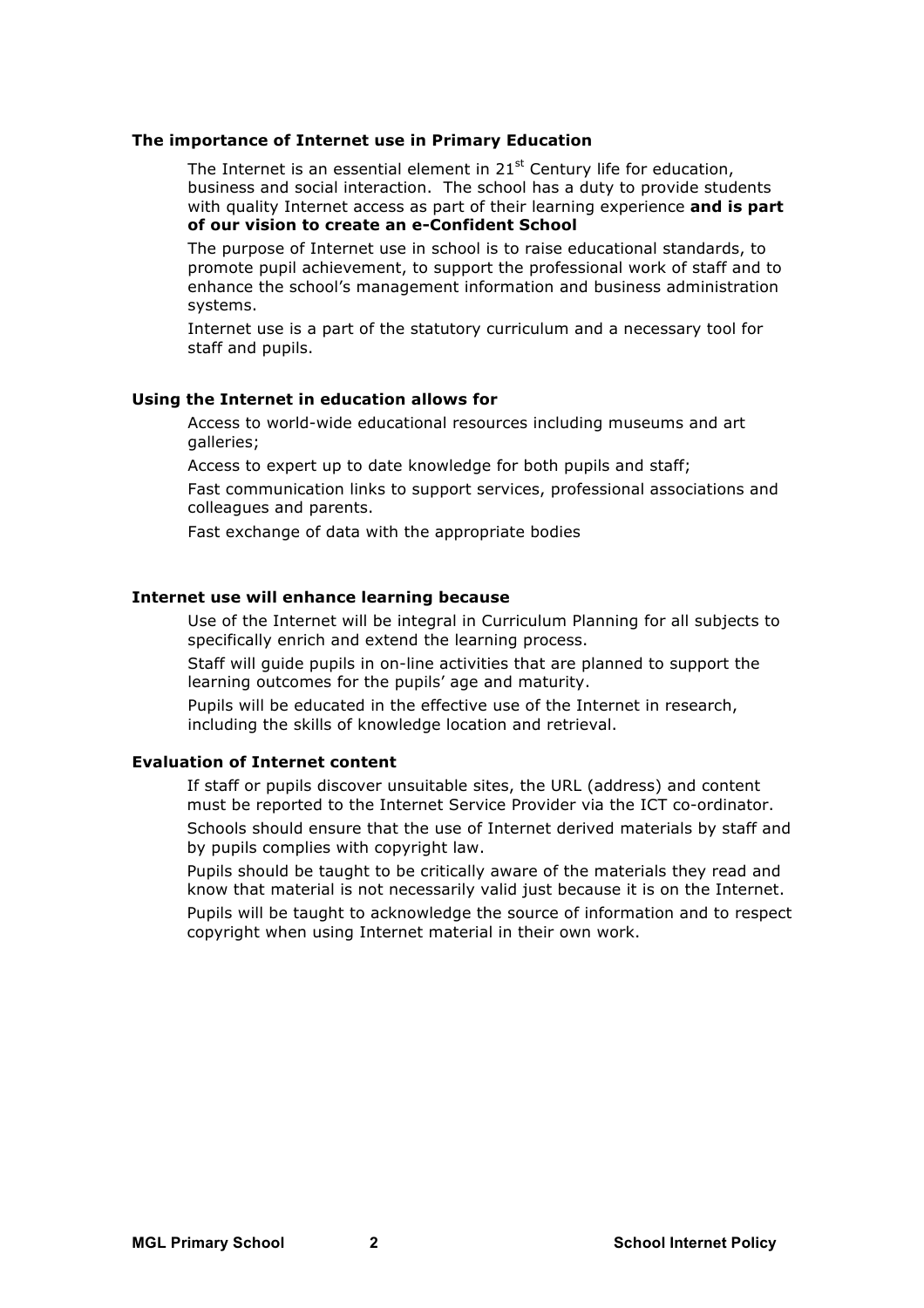#### **The importance of Internet use in Primary Education**

The Internet is an essential element in  $21<sup>st</sup>$  Century life for education, business and social interaction. The school has a duty to provide students with quality Internet access as part of their learning experience **and is part of our vision to create an e-Confident School**

 The purpose of Internet use in school is to raise educational standards, to promote pupil achievement, to support the professional work of staff and to enhance the school's management information and business administration systems.

 Internet use is a part of the statutory curriculum and a necessary tool for staff and pupils.

# **Using the Internet in education allows for**

 Access to world-wide educational resources including museums and art galleries;

Access to expert up to date knowledge for both pupils and staff;

 Fast communication links to support services, professional associations and colleagues and parents.

Fast exchange of data with the appropriate bodies

# **Internet use will enhance learning because**

 Use of the Internet will be integral in Curriculum Planning for all subjects to specifically enrich and extend the learning process.

 Staff will guide pupils in on-line activities that are planned to support the learning outcomes for the pupils' age and maturity.

 Pupils will be educated in the effective use of the Internet in research, including the skills of knowledge location and retrieval.

#### **Evaluation of Internet content**

 If staff or pupils discover unsuitable sites, the URL (address) and content must be reported to the Internet Service Provider via the ICT co-ordinator.

 Schools should ensure that the use of Internet derived materials by staff and by pupils complies with copyright law.

 Pupils should be taught to be critically aware of the materials they read and know that material is not necessarily valid just because it is on the Internet.

 Pupils will be taught to acknowledge the source of information and to respect copyright when using Internet material in their own work.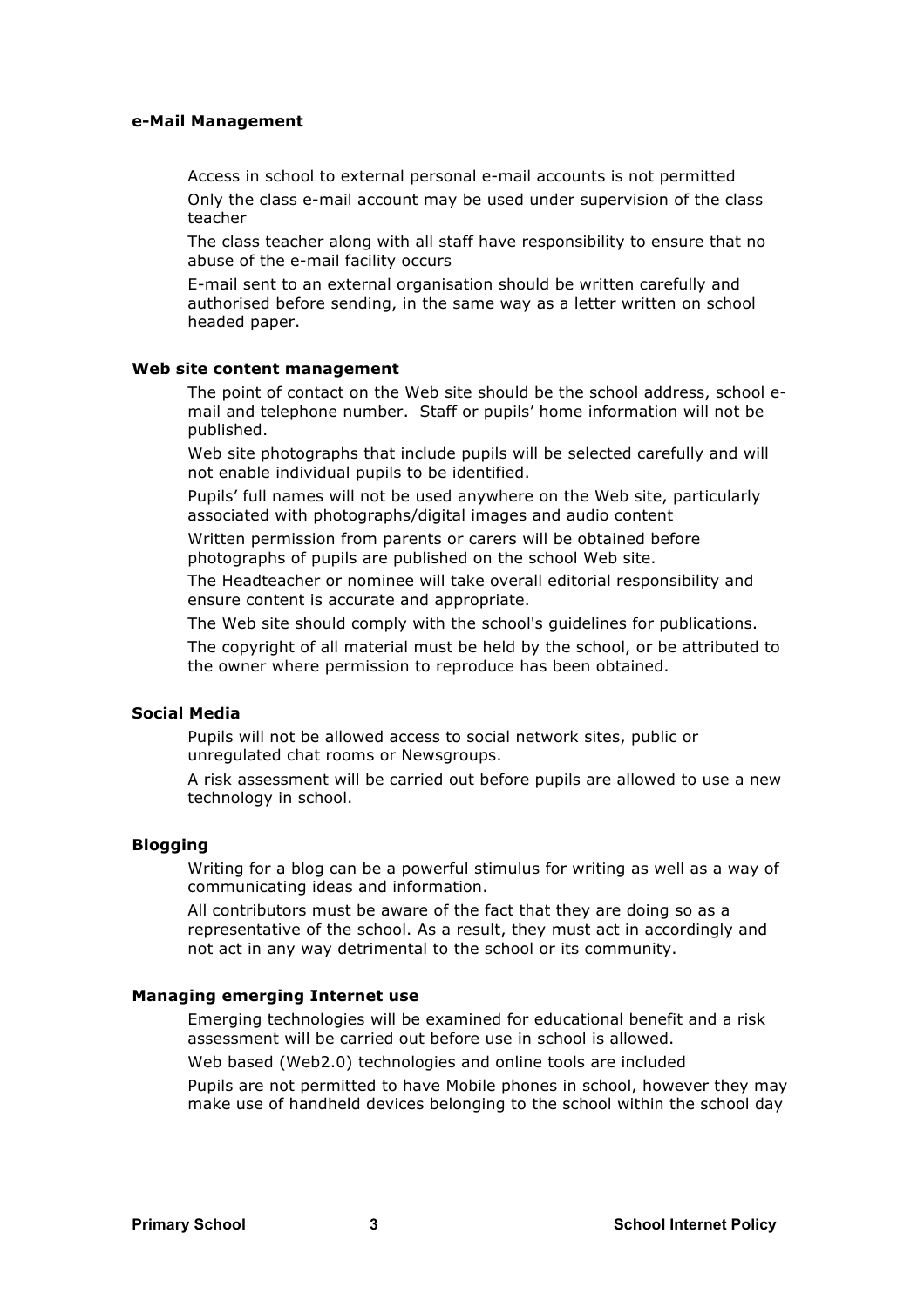#### **e-Mail Management**

 Access in school to external personal e-mail accounts is not permitted Only the class e-mail account may be used under supervision of the class teacher

 The class teacher along with all staff have responsibility to ensure that no abuse of the e-mail facility occurs

 E-mail sent to an external organisation should be written carefully and authorised before sending, in the same way as a letter written on school headed paper.

#### **Web site content management**

 The point of contact on the Web site should be the school address, school email and telephone number. Staff or pupils' home information will not be published.

 Web site photographs that include pupils will be selected carefully and will not enable individual pupils to be identified.

 Pupils' full names will not be used anywhere on the Web site, particularly associated with photographs/digital images and audio content

 Written permission from parents or carers will be obtained before photographs of pupils are published on the school Web site.

 The Headteacher or nominee will take overall editorial responsibility and ensure content is accurate and appropriate.

The Web site should comply with the school's guidelines for publications.

 The copyright of all material must be held by the school, or be attributed to the owner where permission to reproduce has been obtained.

#### **Social Media**

 Pupils will not be allowed access to social network sites, public or unregulated chat rooms or Newsgroups.

 A risk assessment will be carried out before pupils are allowed to use a new technology in school.

#### **Blogging**

 Writing for a blog can be a powerful stimulus for writing as well as a way of communicating ideas and information.

 All contributors must be aware of the fact that they are doing so as a representative of the school. As a result, they must act in accordingly and not act in any way detrimental to the school or its community.

# **Managing emerging Internet use**

 Emerging technologies will be examined for educational benefit and a risk assessment will be carried out before use in school is allowed.

Web based (Web2.0) technologies and online tools are included

 Pupils are not permitted to have Mobile phones in school, however they may make use of handheld devices belonging to the school within the school day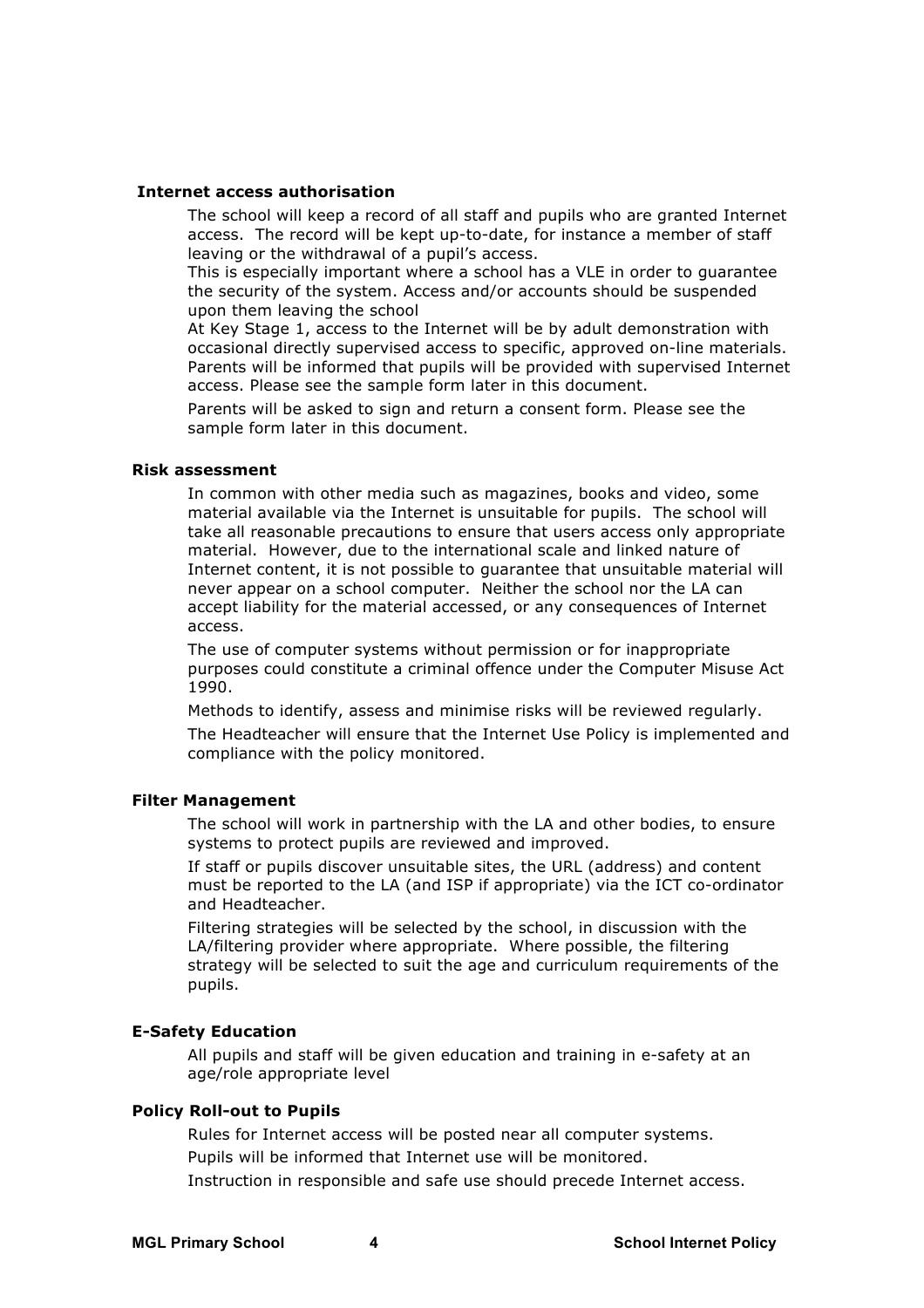#### **Internet access authorisation**

 The school will keep a record of all staff and pupils who are granted Internet access. The record will be kept up-to-date, for instance a member of staff leaving or the withdrawal of a pupil's access.

 This is especially important where a school has a VLE in order to guarantee the security of the system. Access and/or accounts should be suspended upon them leaving the school

 At Key Stage 1, access to the Internet will be by adult demonstration with occasional directly supervised access to specific, approved on-line materials. Parents will be informed that pupils will be provided with supervised Internet access. Please see the sample form later in this document.

 Parents will be asked to sign and return a consent form. Please see the sample form later in this document.

#### **Risk assessment**

 In common with other media such as magazines, books and video, some material available via the Internet is unsuitable for pupils. The school will take all reasonable precautions to ensure that users access only appropriate material. However, due to the international scale and linked nature of Internet content, it is not possible to guarantee that unsuitable material will never appear on a school computer. Neither the school nor the LA can accept liability for the material accessed, or any consequences of Internet access.

 The use of computer systems without permission or for inappropriate purposes could constitute a criminal offence under the Computer Misuse Act 1990.

 Methods to identify, assess and minimise risks will be reviewed regularly. The Headteacher will ensure that the Internet Use Policy is implemented and compliance with the policy monitored.

# **Filter Management**

 The school will work in partnership with the LA and other bodies, to ensure systems to protect pupils are reviewed and improved.

 If staff or pupils discover unsuitable sites, the URL (address) and content must be reported to the LA (and ISP if appropriate) via the ICT co-ordinator and Headteacher.

 Filtering strategies will be selected by the school, in discussion with the LA/filtering provider where appropriate. Where possible, the filtering strategy will be selected to suit the age and curriculum requirements of the pupils.

# **E-Safety Education**

 All pupils and staff will be given education and training in e-safety at an age/role appropriate level

# **Policy Roll-out to Pupils**

 Rules for Internet access will be posted near all computer systems. Pupils will be informed that Internet use will be monitored.

Instruction in responsible and safe use should precede Internet access.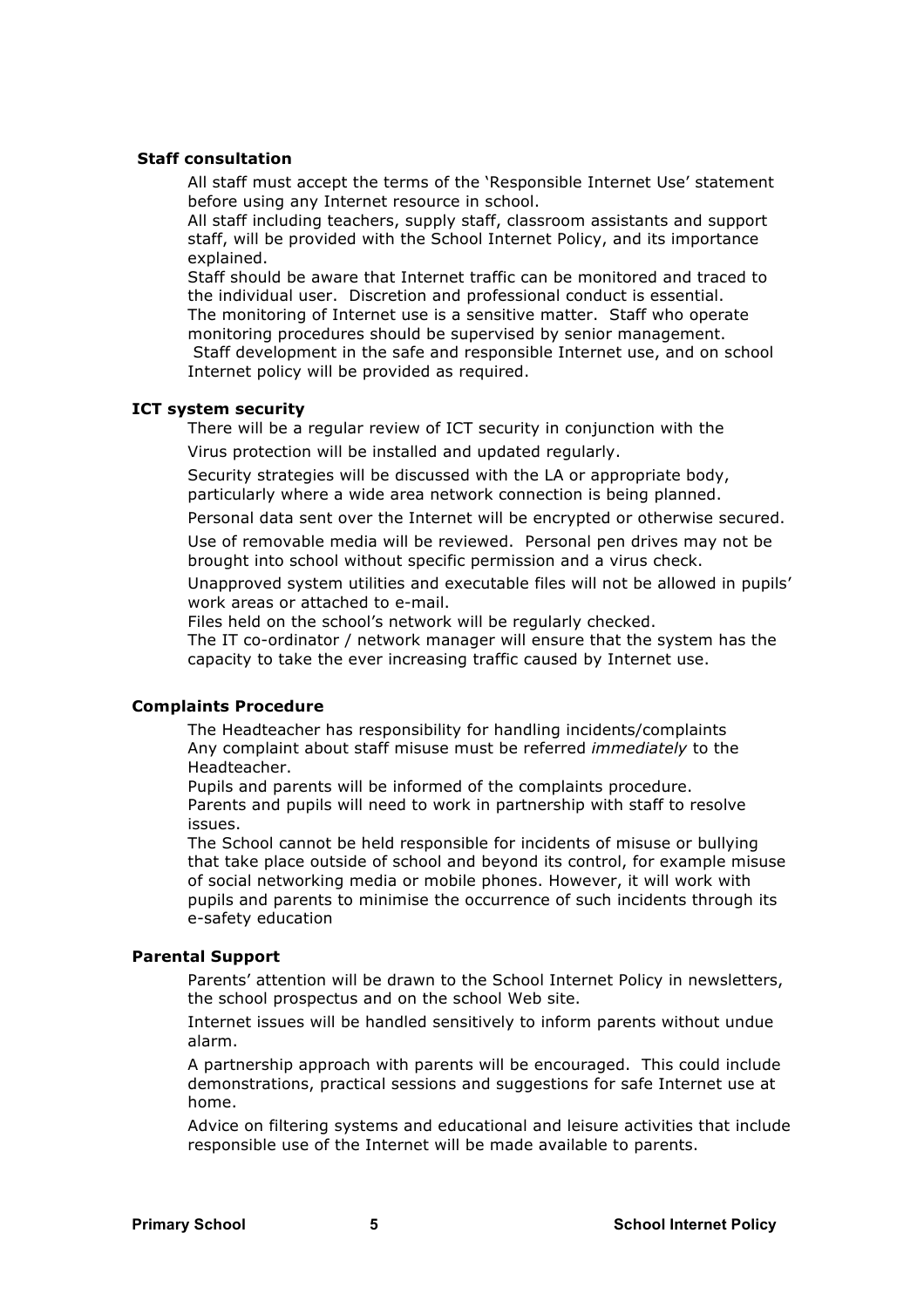#### **Staff consultation**

 All staff must accept the terms of the 'Responsible Internet Use' statement before using any Internet resource in school.

 All staff including teachers, supply staff, classroom assistants and support staff, will be provided with the School Internet Policy, and its importance explained.

 Staff should be aware that Internet traffic can be monitored and traced to the individual user. Discretion and professional conduct is essential. The monitoring of Internet use is a sensitive matter. Staff who operate monitoring procedures should be supervised by senior management. Staff development in the safe and responsible Internet use, and on school Internet policy will be provided as required.

#### **ICT system security**

 There will be a regular review of ICT security in conjunction with the Virus protection will be installed and updated regularly.

 Security strategies will be discussed with the LA or appropriate body, particularly where a wide area network connection is being planned.

Personal data sent over the Internet will be encrypted or otherwise secured.

 Use of removable media will be reviewed. Personal pen drives may not be brought into school without specific permission and a virus check.

 Unapproved system utilities and executable files will not be allowed in pupils' work areas or attached to e-mail.

Files held on the school's network will be regularly checked.

 The IT co-ordinator / network manager will ensure that the system has the capacity to take the ever increasing traffic caused by Internet use.

# **Complaints Procedure**

 The Headteacher has responsibility for handling incidents/complaints Any complaint about staff misuse must be referred *immediately* to the Headteacher.

 Pupils and parents will be informed of the complaints procedure. Parents and pupils will need to work in partnership with staff to resolve issues.

 The School cannot be held responsible for incidents of misuse or bullying that take place outside of school and beyond its control, for example misuse of social networking media or mobile phones. However, it will work with pupils and parents to minimise the occurrence of such incidents through its e-safety education

#### **Parental Support**

 Parents' attention will be drawn to the School Internet Policy in newsletters, the school prospectus and on the school Web site.

 Internet issues will be handled sensitively to inform parents without undue alarm.

 A partnership approach with parents will be encouraged. This could include demonstrations, practical sessions and suggestions for safe Internet use at home.

 Advice on filtering systems and educational and leisure activities that include responsible use of the Internet will be made available to parents.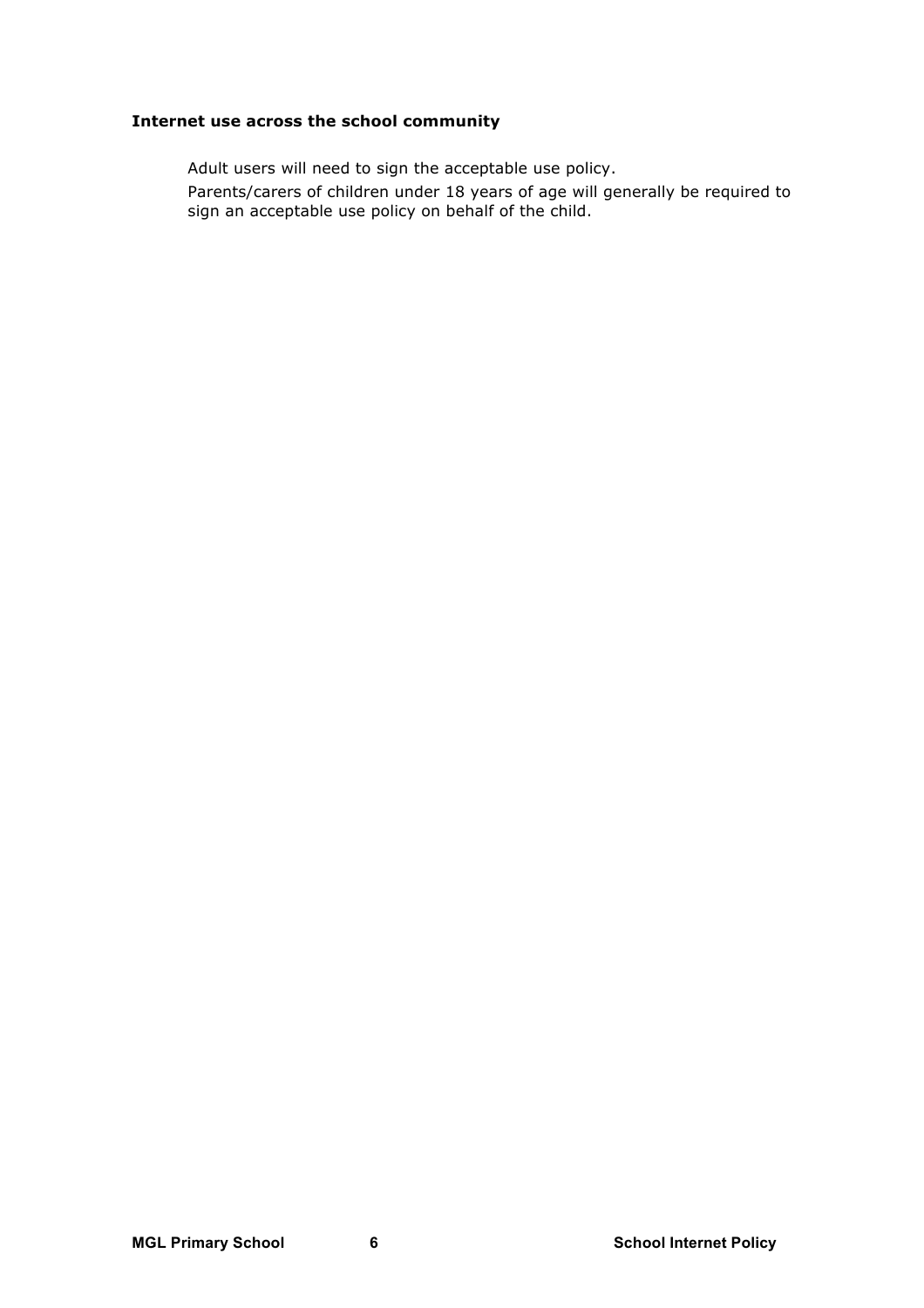# **Internet use across the school community**

Adult users will need to sign the acceptable use policy.

 Parents/carers of children under 18 years of age will generally be required to sign an acceptable use policy on behalf of the child.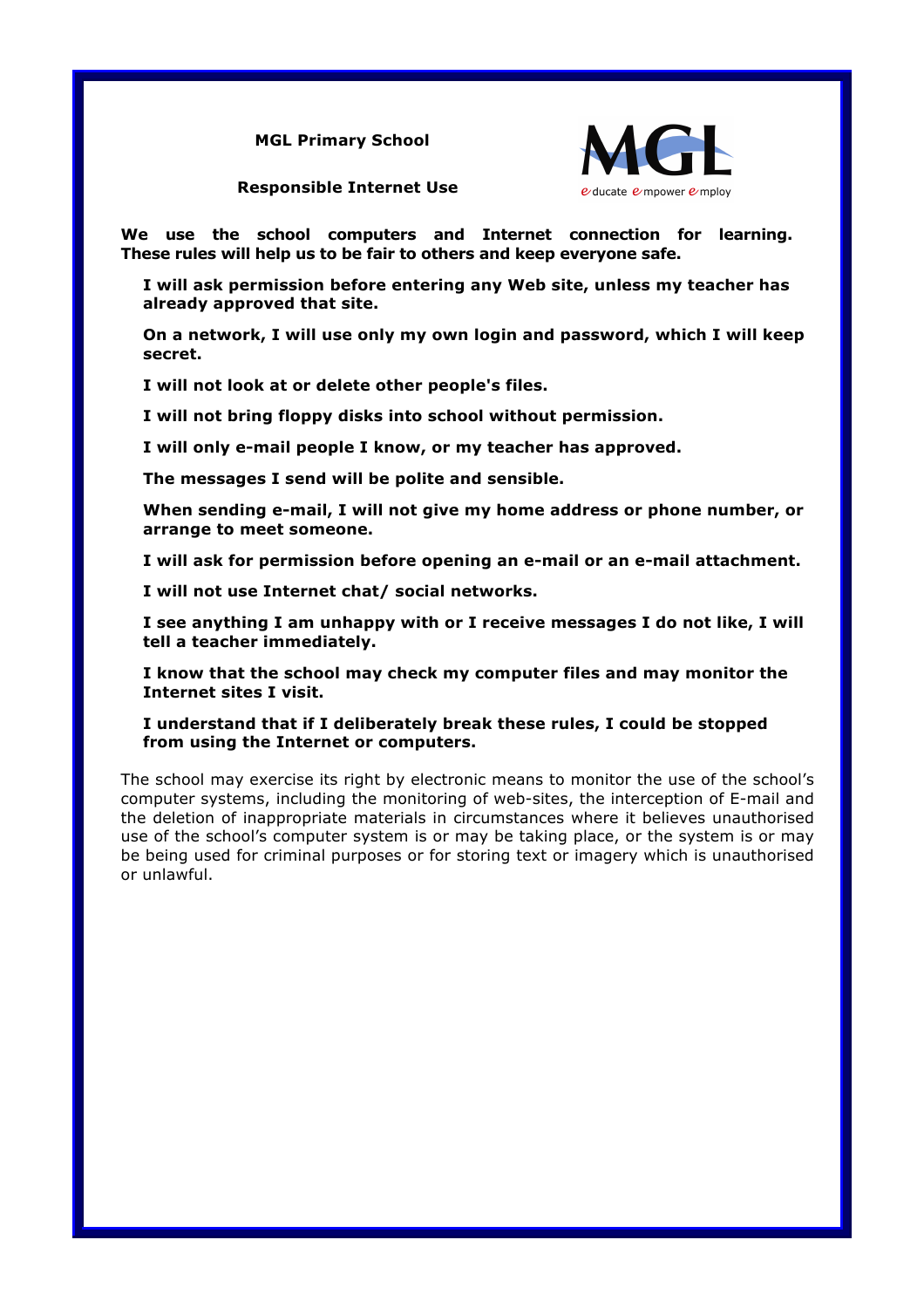**MGL Primary School**



**Responsible Internet Use**

**We use the school computers and Internet connection for learning. These rules will help us to be fair to others and keep everyone safe.**

 **I will ask permission before entering any Web site, unless my teacher has already approved that site.** 

 **On a network, I will use only my own login and password, which I will keep secret.** 

**I will not look at or delete other people's files.** 

**I will not bring floppy disks into school without permission.**

**I will only e-mail people I know, or my teacher has approved.**

**The messages I send will be polite and sensible.**

 **When sending e-mail, I will not give my home address or phone number, or arrange to meet someone.**

**I will ask for permission before opening an e-mail or an e-mail attachment.**

**I will not use Internet chat/ social networks.** 

 **I see anything I am unhappy with or I receive messages I do not like, I will tell a teacher immediately.** 

 **I know that the school may check my computer files and may monitor the Internet sites I visit.**

 **I understand that if I deliberately break these rules, I could be stopped from using the Internet or computers.**

The school may exercise its right by electronic means to monitor the use of the school's computer systems, including the monitoring of web-sites, the interception of E-mail and the deletion of inappropriate materials in circumstances where it believes unauthorised use of the school's computer system is or may be taking place, or the system is or may be being used for criminal purposes or for storing text or imagery which is unauthorised or unlawful.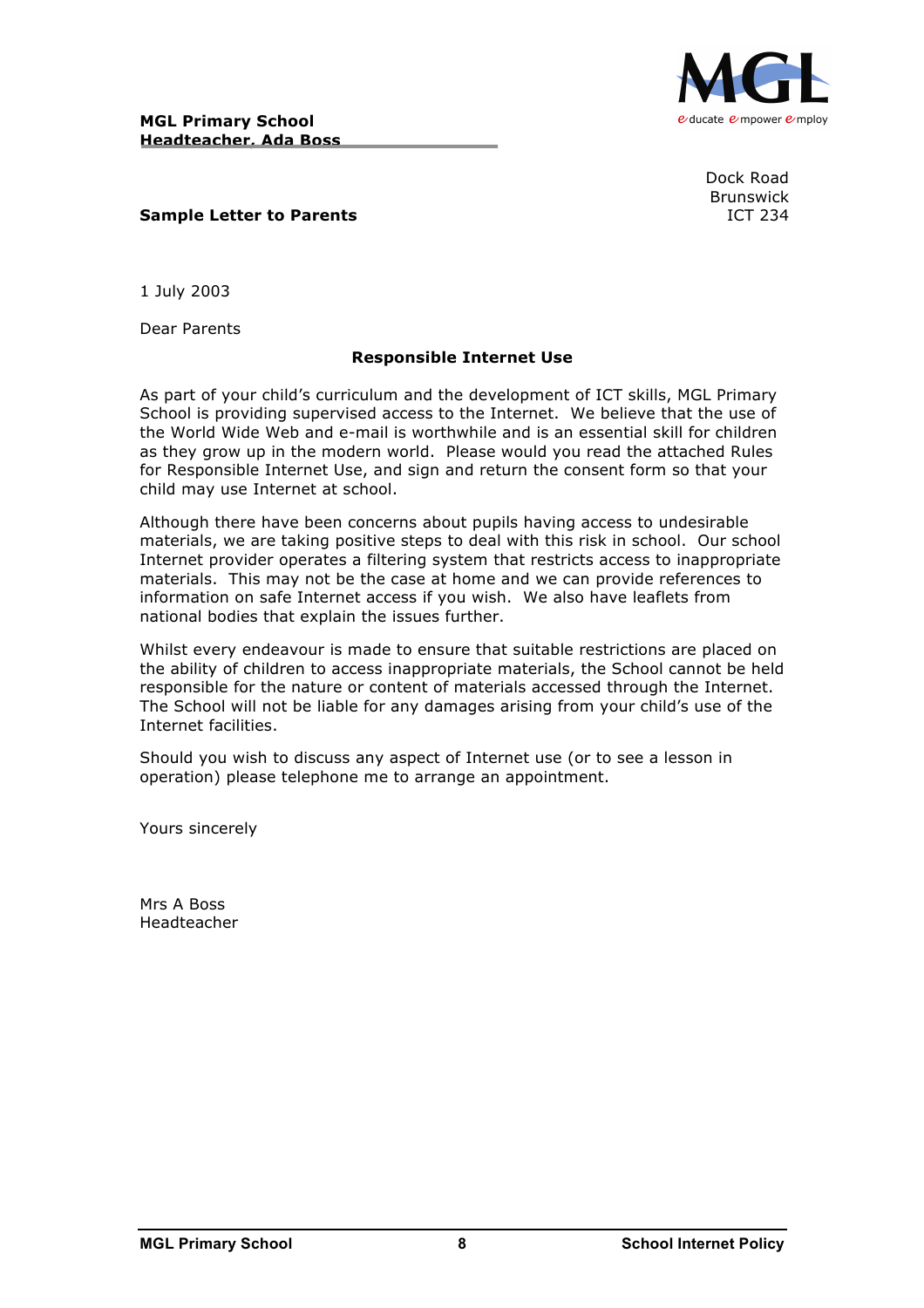



Dock Road Brunswick

# **Sample Letter to Parents ICT 234**

1 July 2003

Dear Parents

# **Responsible Internet Use**

As part of your child's curriculum and the development of ICT skills, MGL Primary School is providing supervised access to the Internet. We believe that the use of the World Wide Web and e-mail is worthwhile and is an essential skill for children as they grow up in the modern world. Please would you read the attached Rules for Responsible Internet Use, and sign and return the consent form so that your child may use Internet at school.

Although there have been concerns about pupils having access to undesirable materials, we are taking positive steps to deal with this risk in school. Our school Internet provider operates a filtering system that restricts access to inappropriate materials. This may not be the case at home and we can provide references to information on safe Internet access if you wish. We also have leaflets from national bodies that explain the issues further.

Whilst every endeavour is made to ensure that suitable restrictions are placed on the ability of children to access inappropriate materials, the School cannot be held responsible for the nature or content of materials accessed through the Internet. The School will not be liable for any damages arising from your child's use of the Internet facilities.

Should you wish to discuss any aspect of Internet use (or to see a lesson in operation) please telephone me to arrange an appointment.

Yours sincerely

Mrs A Boss Headteacher